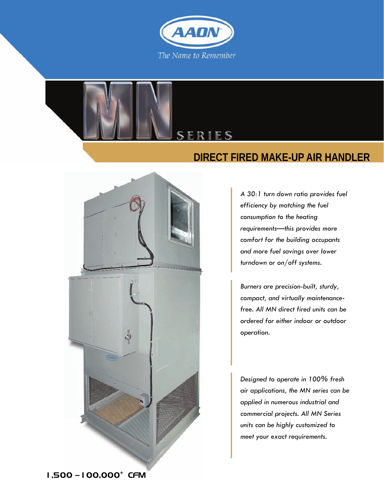

SER

FS





*Burners are precision-built, sturdy, compact, and virtually maintenancefree. All MN direct fired units can be ordered for either indoor or outdoor operation.* 

*Designed to operate in 100% fresh air applications, the MN series can be applied in numerous industrial and commercial projects. All MN Series units can be highly customized to meet your exact requirements.* 

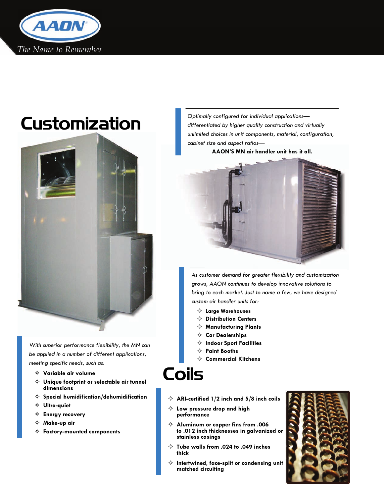



*With superior performance flexibility, the MN can be applied in a number of different applications, meeting specific needs, such as:* 

- G **Variable air volume**
- G **Unique footprint or selectable air tunnel dimensions**
- G **Special humidification/dehumidification**
- $\Leftrightarrow$  Ultra-quiet
- $\Leftrightarrow$  **Energy recovery**
- G **Make-up air**
- $\Leftrightarrow$  Factory-mounted components

Customization **Customization** *differentiated by higher quality construction and virtually unlimited choices in unit components, material, configuration, cabinet size and aspect ratios—* 

**AAON'S MN air handler unit has it all.** 



*As customer demand for greater flexibility and customization grows, AAON continues to develop innovative solutions to bring to each market. Just to name a few, we have designed custom air handler units for:* 

- G **Large Warehouses**
- **♦ Distribution Centers**
- $\Leftrightarrow$  Manufacturing Plants
- $\Leftrightarrow$  Car Dealerships
- $\Leftrightarrow$  Indoor Sport Facilities
- $\Leftrightarrow$  **Paint Booths**
- G **Commercial Kitchens**

# Coils

- G **ARI-certified 1/2 inch and 5/8 inch coils**
- $\Leftrightarrow$  Low pressure drop and high **performance**
- G **Aluminum or copper fins from .006 to .012 inch thicknesses in galvanized or stainless casings**
- G **Tube walls from .024 to .049 inches thick**
- $\Leftrightarrow$  Intertwined, face-split or condensing unit **matched circuiting**

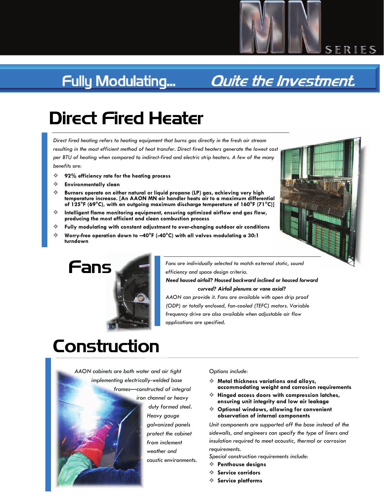## **Fully Modulating...**

## **Quite the Investment.**

# Direct Fired Heater

*Direct fired heating refers to heating equipment that burns gas directly in the fresh air stream resulting in the most efficient method of heat transfer. Direct fired heaters generate the lowest cost*  per BTU of heating when compared to indirect-fired and electric strip heaters. A few of the many *benefits are:* 

- G **92% efficiency rate for the heating process**
- $\Leftrightarrow$  **Environmentally clean**
- G **Burners operate on either natural or liquid propane (LP) gas, achieving very high temperature increase. [An AAON MN air handler heats air to a maximum differential of 125°F (69°C), with an outgoing maximum discharge temperature of 160°F (71°C)]**
- $\Leftrightarrow$  Intelligent flame monitoring equipment, ensuring optimized airflow and gas flow, **producing the most efficient and clean combustion process**
- $\Leftrightarrow$  Fully modulating with constant adjustment to ever-changing outdoor air conditions
- Worry-free operation down to -40°F (-40°C) with all valves modulating a 30:1 **turndown**



SERIES



*Fans are individually selected to match external static, sound efficiency and space design criteria.* 

*Need housed airfoil? Housed backward inclined or housed forward curved? Airfoil plenums or vane axial?* 

*AAON can provide it. Fans are available with open drip proof (ODP) or totally enclosed, fan-cooled (TEFC) motors. Variable frequency drive are also available when adjustable air flow applications are specified.* 

# **Construction**



#### *Options include:*

- $\Leftrightarrow$  Metal thickness variations and alloys, **accommodating weight and corrosion requirements**
- G **Hinged access doors with compression latches, ensuring unit integrity and low air leakage**
- **♦ Optional windows, allowing for convenient observation of internal components**

*Unit components are supported off the base instead of the sidewalls, and engineers can specify the type of liners and insulation required to meet acoustic, thermal or corrosion requirements.* 

*Special construction requirements include:* 

- G **Penthouse designs**
- $\Leftrightarrow$  Service corridors
- $\Leftrightarrow$  Service platforms